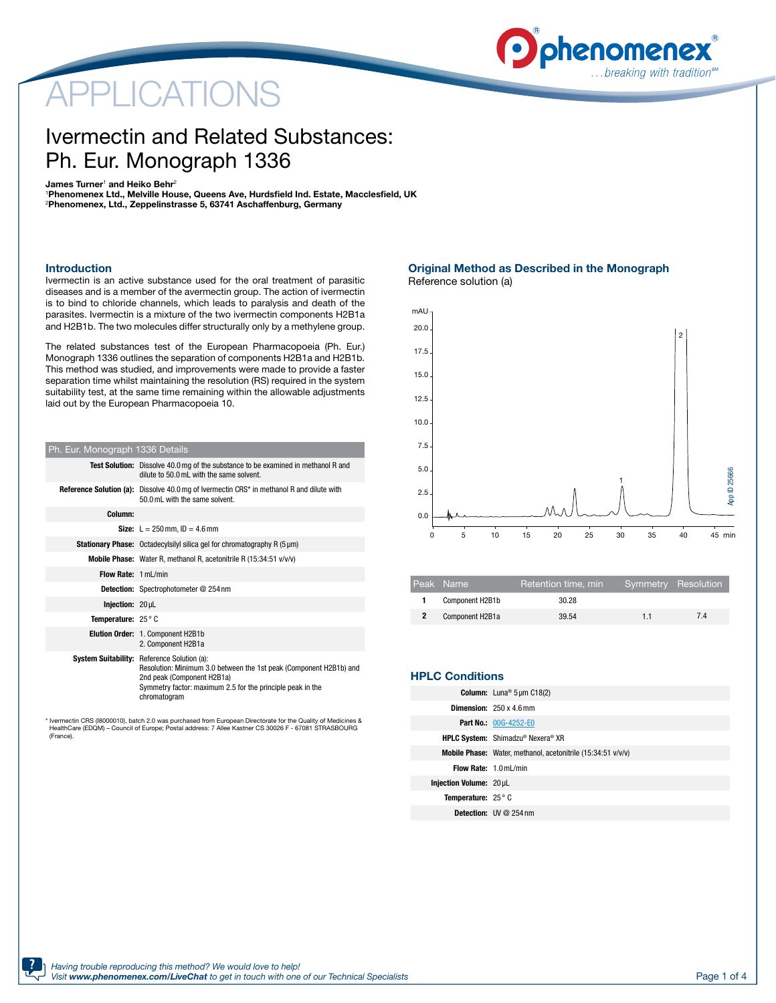# APPLICATIONS



## Ivermectin and Related Substances: Ph. Eur. Monograph 1336

James Turner $^{\scriptscriptstyle 1}$  and Heiko Behr $^{\scriptscriptstyle 2}$ 

1 Phenomenex Ltd., Melville House, Queens Ave, Hurdsfield Ind. Estate, Macclesfield, UK 2 Phenomenex, Ltd., Zeppelinstrasse 5, 63741 Aschaffenburg, Germany

#### Introduction

Ivermectin is an active substance used for the oral treatment of parasitic diseases and is a member of the avermectin group. The action of ivermectin is to bind to chloride channels, which leads to paralysis and death of the parasites. Ivermectin is a mixture of the two ivermectin components H2B1a and H2B1b. The two molecules differ structurally only by a methylene group.

The related substances test of the European Pharmacopoeia (Ph. Eur.) Monograph 1336 outlines the separation of components H2B1a and H2B1b. This method was studied, and improvements were made to provide a faster separation time whilst maintaining the resolution (RS) required in the system suitability test, at the same time remaining within the allowable adjustments laid out by the European Pharmacopoeia 10.

| Ph. Eur. Monograph 1336 Details                                                                                                                |                                                                                                                                                                                                                                      |  |  |  |  |  |
|------------------------------------------------------------------------------------------------------------------------------------------------|--------------------------------------------------------------------------------------------------------------------------------------------------------------------------------------------------------------------------------------|--|--|--|--|--|
|                                                                                                                                                | <b>Test Solution:</b> Dissolve 40.0 mg of the substance to be examined in methanol R and<br>dilute to 50.0 mL with the same solvent.                                                                                                 |  |  |  |  |  |
| <b>Reference Solution (a):</b> Dissolve 40.0 mg of Ivermectin CRS <sup>*</sup> in methanol R and dilute with<br>50.0 mL with the same solvent. |                                                                                                                                                                                                                                      |  |  |  |  |  |
| Column:                                                                                                                                        |                                                                                                                                                                                                                                      |  |  |  |  |  |
|                                                                                                                                                | <b>Size:</b> $L = 250$ mm. $ID = 4.6$ mm                                                                                                                                                                                             |  |  |  |  |  |
|                                                                                                                                                | <b>Stationary Phase:</b> Octadecylsilyl silica gel for chromatography R (5 µm)                                                                                                                                                       |  |  |  |  |  |
|                                                                                                                                                | Mobile Phase: Water R, methanol R, acetonitrile R (15:34:51 v/v/v)                                                                                                                                                                   |  |  |  |  |  |
| Flow Rate: 1 ml /min                                                                                                                           |                                                                                                                                                                                                                                      |  |  |  |  |  |
|                                                                                                                                                | <b>Detection:</b> Spectrophotometer @ 254 nm                                                                                                                                                                                         |  |  |  |  |  |
| Iniection: 20 uL                                                                                                                               |                                                                                                                                                                                                                                      |  |  |  |  |  |
| Temperature: $25^\circ$ C                                                                                                                      |                                                                                                                                                                                                                                      |  |  |  |  |  |
|                                                                                                                                                | Elution Order: 1. Component H2B1b<br>2. Component H2B1a                                                                                                                                                                              |  |  |  |  |  |
|                                                                                                                                                | <b>System Suitability:</b> Reference Solution (a):<br>Resolution: Minimum 3.0 between the 1st peak (Component H2B1b) and<br>2nd peak (Component H2B1a)<br>Symmetry factor: maximum 2.5 for the principle peak in the<br>chromatogram |  |  |  |  |  |

\* Ivermectin CRS (I8000010), batch 2.0 was purchased from European Directorate for the Quality of Medicines & HealthCare (EDQM) – Council of Europe; Postal address: 7 Allee Kastner CS 30026 F - 67081 STRASBOURG (France).

Original Method as Described in the Monograph Reference solution (a)



| Peak Name       | Retention time, min | Symmetry Resolution |    |
|-----------------|---------------------|---------------------|----|
| Component H2B1b | 30.28               |                     |    |
| Component H2B1a | 39.54               | 11                  | 74 |

|  |  |  |  | <b>HPLC Conditions</b> |  |
|--|--|--|--|------------------------|--|
|--|--|--|--|------------------------|--|

|                                  | <b>Column:</b> Luna <sup>®</sup> $5 \mu m C18(2)$            |
|----------------------------------|--------------------------------------------------------------|
|                                  | <b>Dimension:</b> $250 \times 4.6$ mm                        |
|                                  | <b>Part No.: 00G-4252-E0</b>                                 |
|                                  | HPLC System: Shimadzu® Nexera® XR                            |
|                                  | Mobile Phase: Water, methanol, acetonitrile (15:34:51 v/v/v) |
| <b>Flow Rate: 1.0 mL/min</b>     |                                                              |
| Injection Volume: 20 µL          |                                                              |
| <b>Temperature:</b> $25^\circ$ C |                                                              |
|                                  | <b>Detection:</b> $UV@254nm$                                 |
|                                  |                                                              |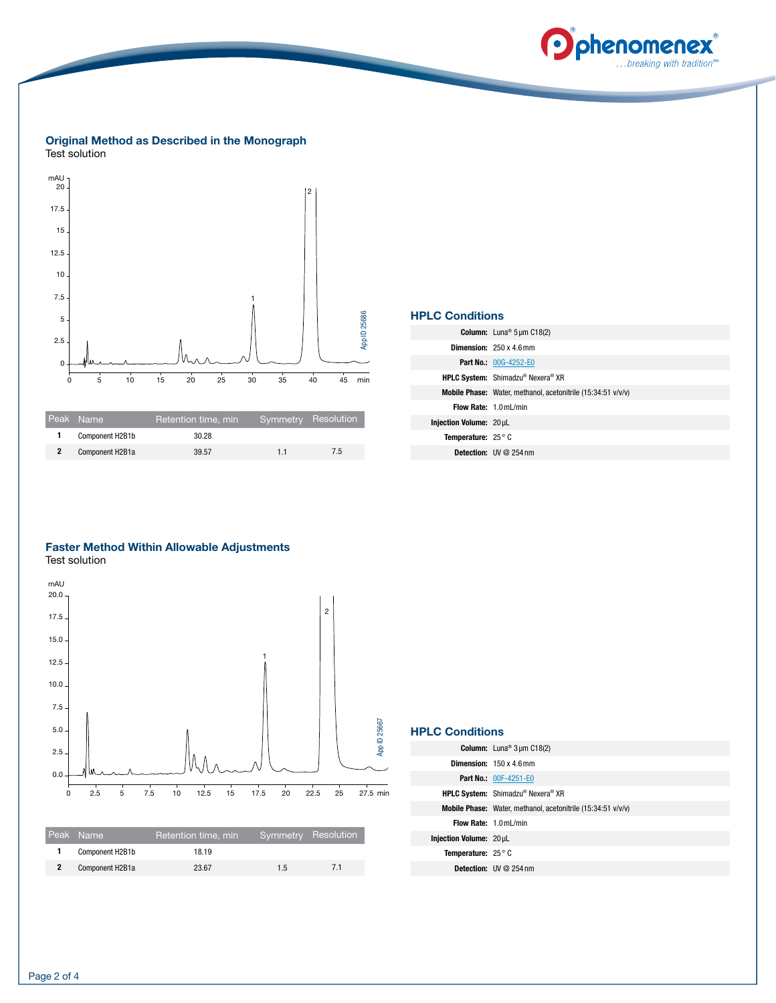

#### Original Method as Described in the Monograph Test solution



|                | Peak Name       | Retention time, min | Symmetry Resolution |     |
|----------------|-----------------|---------------------|---------------------|-----|
|                | Component H2B1b | 30.28               |                     |     |
| $\overline{2}$ | Component H2B1a | 39.57               | 11                  | 7.5 |

| <b>HPLC Conditions</b>           |                                                              |  |  |  |  |
|----------------------------------|--------------------------------------------------------------|--|--|--|--|
|                                  | <b>Column:</b> Luna <sup>®</sup> $5 \mu m C18(2)$            |  |  |  |  |
|                                  | <b>Dimension:</b> $250 \times 4.6$ mm                        |  |  |  |  |
|                                  | <b>Part No.: 00G-4252-E0</b>                                 |  |  |  |  |
|                                  | <b>HPLC System:</b> Shimadzu® Nexera® XR                     |  |  |  |  |
|                                  | Mobile Phase: Water, methanol, acetonitrile (15:34:51 v/v/v) |  |  |  |  |
|                                  | Flow Rate: 1.0 mL/min                                        |  |  |  |  |
| Injection Volume: 20 µL          |                                                              |  |  |  |  |
| <b>Temperature:</b> $25^\circ$ C |                                                              |  |  |  |  |
|                                  | <b>Detection:</b> $UV@254nm$                                 |  |  |  |  |
|                                  |                                                              |  |  |  |  |

### Faster Method Within Allowable Adjustments Test solution



### HPLC Conditions

|                                  | <b>Column:</b> Luna <sup>®</sup> $3 \mu m C18(2)$            |
|----------------------------------|--------------------------------------------------------------|
|                                  | <b>Dimension:</b> $150 \times 4.6$ mm                        |
|                                  | <b>Part No.: 00F-4251-E0</b>                                 |
|                                  | HPLC System: Shimadzu® Nexera® XR                            |
|                                  | Mobile Phase: Water, methanol, acetonitrile (15:34:51 v/v/v) |
| Flow Rate: 1.0 mL/min            |                                                              |
| Injection Volume: 20 µL          |                                                              |
| <b>Temperature:</b> $25^\circ$ C |                                                              |
|                                  | <b>Detection:</b> $UV@254nm$                                 |
|                                  |                                                              |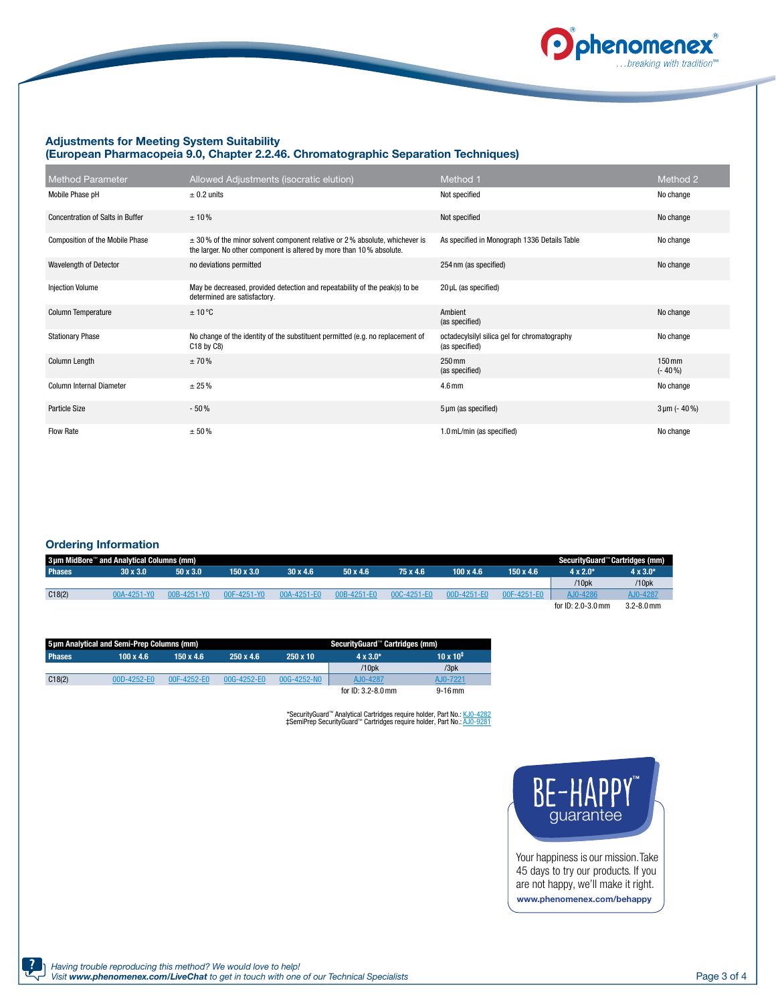

#### Adjustments for Meeting System Suitability (European Pharmacopeia 9.0, Chapter 2.2.46. Chromatographic Separation Techniques)

| <b>Method Parameter</b>                 | Allowed Adjustments (isocratic elution)                                                                                                                | Method 1                                                       | Method 2                         |
|-----------------------------------------|--------------------------------------------------------------------------------------------------------------------------------------------------------|----------------------------------------------------------------|----------------------------------|
| Mobile Phase pH                         | $\pm$ 0.2 units                                                                                                                                        | Not specified                                                  | No change                        |
| <b>Concentration of Salts in Buffer</b> | ± 10%                                                                                                                                                  | Not specified                                                  | No change                        |
| <b>Composition of the Mobile Phase</b>  | $\pm$ 30% of the minor solvent component relative or 2% absolute, whichever is<br>the larger. No other component is altered by more than 10% absolute. | As specified in Monograph 1336 Details Table                   | No change                        |
| Wavelength of Detector                  | no deviations permitted                                                                                                                                | 254 nm (as specified)                                          | No change                        |
| <b>Injection Volume</b>                 | May be decreased, provided detection and repeatability of the peak(s) to be<br>determined are satisfactory.                                            | $20 \mu L$ (as specified)                                      |                                  |
| Column Temperature                      | ±10°C                                                                                                                                                  | Ambient<br>(as specified)                                      | No change                        |
| <b>Stationary Phase</b>                 | No change of the identity of the substituent permitted (e.g. no replacement of<br>C18 by C8)                                                           | octadecylsilyl silica gel for chromatography<br>(as specified) | No change                        |
| Column Length                           | ±70%                                                                                                                                                   | $250 \,\mathrm{mm}$<br>(as specified)                          | $150 \,\mathrm{mm}$<br>$(-40\%)$ |
| Column Internal Diameter                | ± 25%                                                                                                                                                  | 4.6 <sub>mm</sub>                                              | No change                        |
| <b>Particle Size</b>                    | $-50%$                                                                                                                                                 | 5 µm (as specified)                                            | $3 \mu m$ (- 40 %)               |
| Flow Rate                               | ± 50%                                                                                                                                                  | 1.0 mL/min (as specified)                                      | No change                        |

#### Ordering Information

| 3µm MidBore™ and Analytical Columns (mm) |                 |                 |                  |                 |                 |             |                  | SecurityGuard™ Cartridges (mm) |                      |                 |
|------------------------------------------|-----------------|-----------------|------------------|-----------------|-----------------|-------------|------------------|--------------------------------|----------------------|-----------------|
| Phases <sup>1</sup>                      | $30 \times 3.0$ | $50 \times 3.0$ | $150 \times 3.0$ | $30 \times 4.6$ | $50 \times 4.6$ | 75 x 4.6    | $100 \times 4.6$ | 150 x 4.6                      | $4 \times 2.0^*$     | $4 \times 3.0*$ |
|                                          |                 |                 |                  |                 |                 |             |                  |                                | /10pk                | /10pk           |
| C18(2)                                   | 00A-4251-Y0     | 00B-4251-Y0     | 00F-4251-Y0      | 00A-4251-E0     | 00B-4251-E0     | 00C-4251-E0 | 00D-4251-E0      | 00F-4251-E0                    | AJ0-4286             | AJ0-4287        |
|                                          |                 |                 |                  |                 |                 |             |                  |                                | for $ID: 2.0-3.0$ mm | $3.2 - 8.0$ mm  |

| 5um Analytical and Semi-Prep Columns (mm) |                                                          |                              |  |                 | SecurityGuard™ Cartridges (mm) |                    |
|-------------------------------------------|----------------------------------------------------------|------------------------------|--|-----------------|--------------------------------|--------------------|
| <b>Phases</b>                             | $250 \times 4.6$<br>$100 \times 4.6$<br>$150 \times 4.6$ |                              |  | $250 \times 10$ | $4 \times 3.0^*$               | $10 \times 10^{+}$ |
|                                           |                                                          |                              |  |                 | $/10$ <sub>p</sub> $k$         | /3pk               |
| C18(2)                                    | $00D-4252-E0$                                            | 00F-4252-E0<br>$00G-4252-E0$ |  | 00G-4252-NO     | AJ0-4287                       | AJ0-7221           |
|                                           |                                                          |                              |  |                 | for $ID: 3.2 - 8.0$ mm         | $9 - 16$ mm        |

\*SecurityGuard™ Analytical Cartridges require holder, Part No.: [KJ0-4282](http://www.phenomenex.com/products/part/KJ0-4282?utm_campaign=digital_collateral&utm_source=Ivermectin_And_Related_Substances_Ph_Eur_Monograp_1336&utm_medium=url&utm_content=partnumber)<br>‡SemiPrep SecurityGuard™ Cartridges require holder, Part No.: [AJ0-9281](http://www.phenomenex.com/products/part/AJ0-9281?utm_campaign=digital_collateral&utm_source=Ivermectin_And_Related_Substances_Ph_Eur_Monograp_1336&utm_medium=url&utm_content=partnumber)



Your happiness is our mission.Take 45 days to try our products. If you are not happy, we'll make it right. www.phenomenex.com/behappy